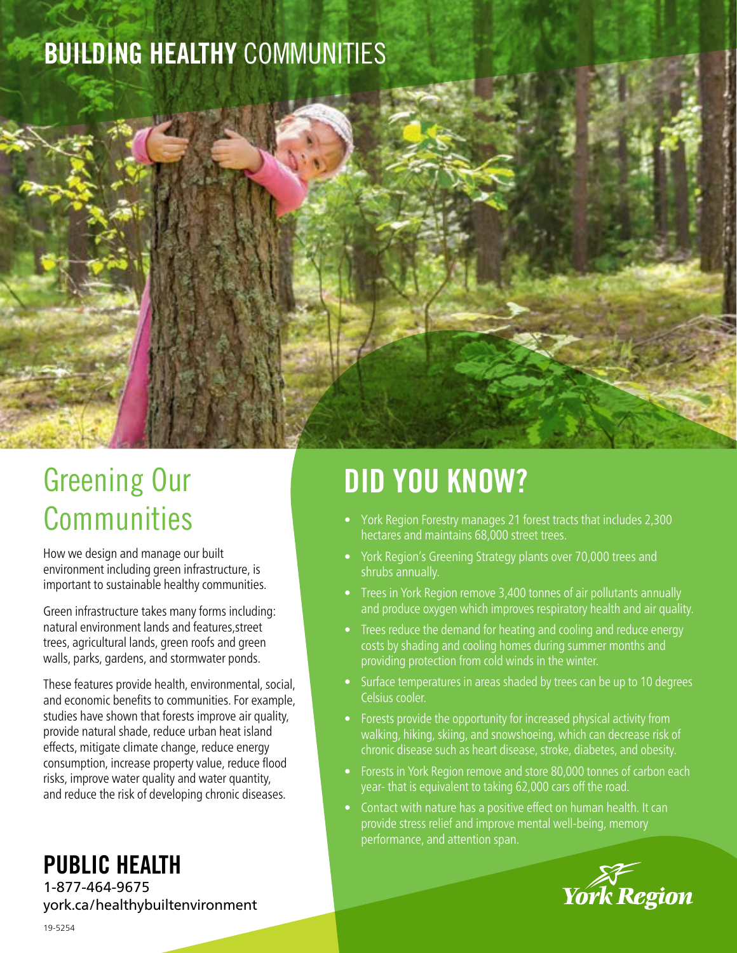## BUILDING HEALTHY COMMUNITIES



How we design and manage our built environment including green infrastructure, is important to sustainable healthy communities.

Green infrastructure takes many forms including: natural environment lands and features,street trees, agricultural lands, green roofs and green walls, parks, gardens, and stormwater ponds.

These features provide health, environmental, social, and economic benefits to communities. For example, studies have shown that forests improve air quality, provide natural shade, reduce urban heat island effects, mitigate climate change, reduce energy consumption, increase property value, reduce flood risks, improve water quality and water quantity, and reduce the risk of developing chronic diseases.

### PUBLIC HEALTH

1-877-464-9675 york.ca/healthybuiltenvironment

# DID YOU KNOW?

- York Region Forestry manages 21 forest tracts that includes 2,300 hectares and maintains 68,000 street trees.
- York Region's Greening Strategy plants over 70,000 trees and shrubs annually.
- Trees in York Region remove 3,400 tonnes of air pollutants annually and produce oxygen which improves respiratory health and air quality.
- Trees reduce the demand for heating and cooling and reduce energy costs by shading and cooling homes during summer months and providing protection from cold winds in the winter.
- Surface temperatures in areas shaded by trees can be up to 10 degrees Celsius cooler.
- Forests provide the opportunity for increased physical activity from walking, hiking, skiing, and snowshoeing, which can decrease risk of chronic disease such as heart disease, stroke, diabetes, and obesity.
- Forests in York Region remove and store 80,000 tonnes of carbon each year- that is equivalent to taking 62,000 cars off the road.
- Contact with nature has a positive effect on human health. It can provide stress relief and improve mental well-being, memory performance, and attention span.